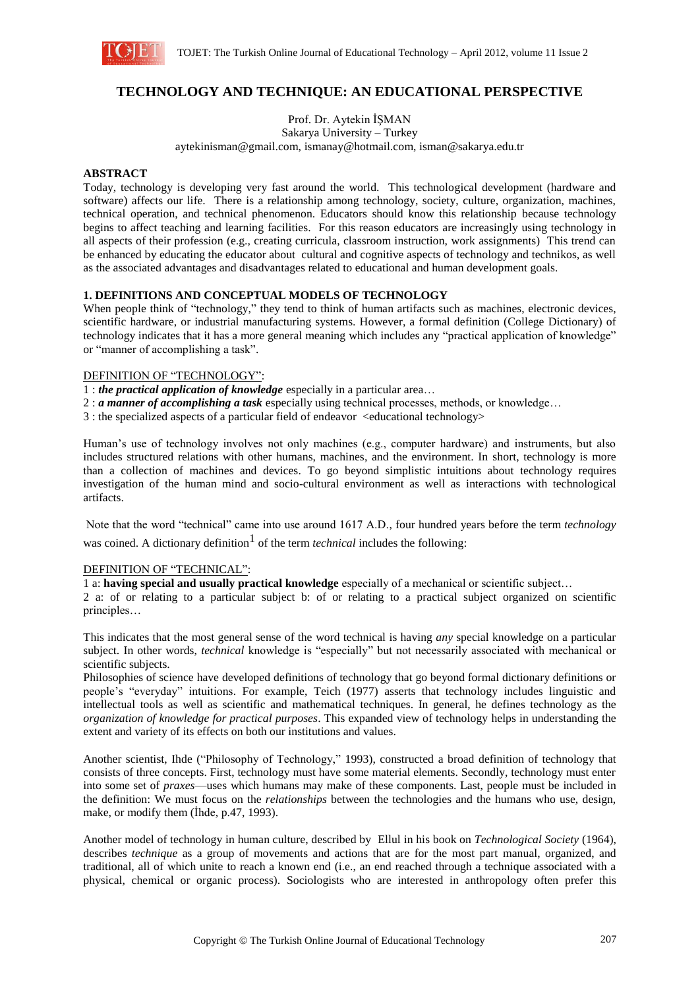

# **TECHNOLOGY AND TECHNIQUE: AN EDUCATIONAL PERSPECTIVE**

Prof. Dr. Aytekin İŞMAN

Sakarya University – Turkey aytekinisman@gmail.com, ismanay@hotmail.com, isman@sakarya.edu.tr

### **ABSTRACT**

Today, technology is developing very fast around the world. This technological development (hardware and software) affects our life. There is a relationship among technology, society, culture, organization, machines, technical operation, and technical phenomenon. Educators should know this relationship because technology begins to affect teaching and learning facilities. For this reason educators are increasingly using technology in all aspects of their profession (e.g., creating curricula, classroom instruction, work assignments) This trend can be enhanced by educating the educator about cultural and cognitive aspects of technology and technikos, as well as the associated advantages and disadvantages related to educational and human development goals.

### **1. DEFINITIONS AND CONCEPTUAL MODELS OF TECHNOLOGY**

When people think of "technology," they tend to think of human artifacts such as machines, electronic devices, scientific hardware, or industrial manufacturing systems. However, a formal definition (College Dictionary) of technology indicates that it has a more general meaning which includes any "practical application of knowledge" or "manner of accomplishing a task".

### DEFINITION OF "TECHNOLOGY":

- 1 : *the practical application of knowledge* especially in a particular area…
- 2 : *a manner of accomplishing a task* especially using technical processes, methods, or knowledge…
- 3 : the specialized aspects of a particular field of endeavor <educational technology>

Human's use of technology involves not only machines (e.g., computer hardware) and instruments, but also includes structured relations with other humans, machines, and the environment. In short, technology is more than a collection of machines and devices. To go beyond simplistic intuitions about technology requires investigation of the human mind and socio-cultural environment as well as interactions with technological artifacts.

Note that the word "technical" came into use around 1617 A.D., four hundred years before the term *technology* was coined. A dictionary definition<sup>1</sup> of the term *technical* includes the following:

### DEFINITION OF "TECHNICAL":

1 a: **having special and usually practical knowledge** especially of a mechanical or scientific subject…

2 a: of or relating to a particular subject b: of or relating to a practical subject organized on scientific principles…

This indicates that the most general sense of the word technical is having *any* special knowledge on a particular subject. In other words, *technical* knowledge is "especially" but not necessarily associated with mechanical or scientific subjects.

Philosophies of science have developed definitions of technology that go beyond formal dictionary definitions or people's "everyday" intuitions. For example, Teich (1977) asserts that technology includes linguistic and intellectual tools as well as scientific and mathematical techniques. In general, he defines technology as the *organization of knowledge for practical purposes*. This expanded view of technology helps in understanding the extent and variety of its effects on both our institutions and values.

Another scientist, Ihde ("Philosophy of Technology," 1993), constructed a broad definition of technology that consists of three concepts. First, technology must have some material elements. Secondly, technology must enter into some set of *praxes*—uses which humans may make of these components. Last, people must be included in the definition: We must focus on the *relationships* between the technologies and the humans who use, design, make, or modify them (İhde, p.47, 1993).

Another model of technology in human culture, described by Ellul in his book on *Technological Society* (1964), describes *technique* as a group of movements and actions that are for the most part manual, organized, and traditional, all of which unite to reach a known end (i.e., an end reached through a technique associated with a physical, chemical or organic process). Sociologists who are interested in anthropology often prefer this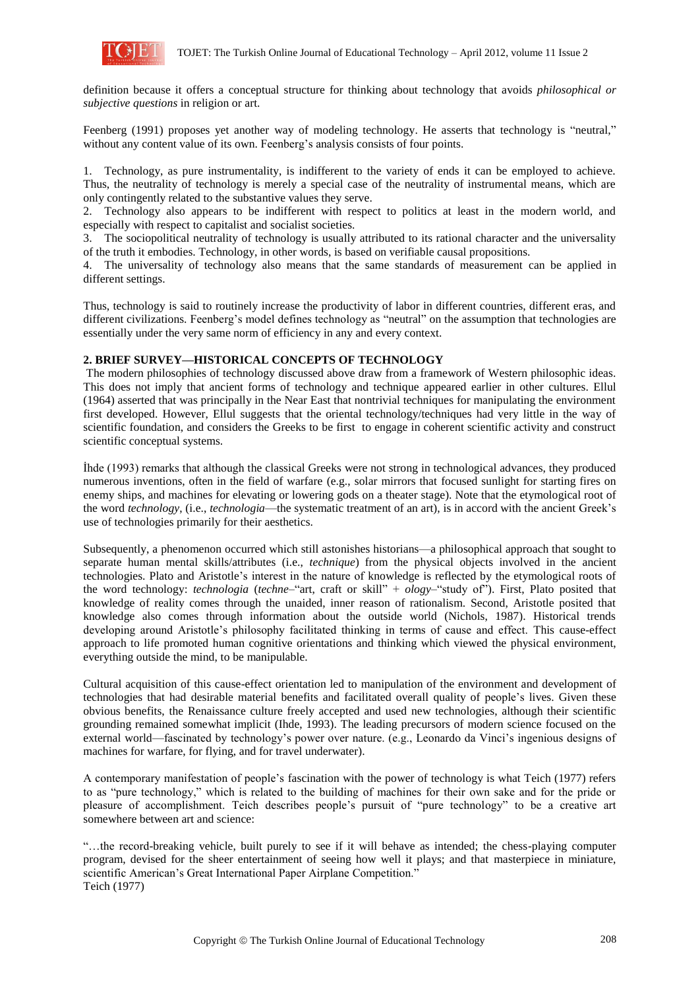

definition because it offers a conceptual structure for thinking about technology that avoids *philosophical or subjective questions* in religion or art.

Feenberg (1991) proposes yet another way of modeling technology. He asserts that technology is "neutral," without any content value of its own. Feenberg's analysis consists of four points.

1. Technology, as pure instrumentality, is indifferent to the variety of ends it can be employed to achieve. Thus, the neutrality of technology is merely a special case of the neutrality of instrumental means, which are only contingently related to the substantive values they serve.

2. Technology also appears to be indifferent with respect to politics at least in the modern world, and especially with respect to capitalist and socialist societies.

3. The sociopolitical neutrality of technology is usually attributed to its rational character and the universality of the truth it embodies. Technology, in other words, is based on verifiable causal propositions.

4. The universality of technology also means that the same standards of measurement can be applied in different settings.

Thus, technology is said to routinely increase the productivity of labor in different countries, different eras, and different civilizations. Feenberg's model defines technology as "neutral" on the assumption that technologies are essentially under the very same norm of efficiency in any and every context.

## **2. BRIEF SURVEY—HISTORICAL CONCEPTS OF TECHNOLOGY**

The modern philosophies of technology discussed above draw from a framework of Western philosophic ideas. This does not imply that ancient forms of technology and technique appeared earlier in other cultures. Ellul (1964) asserted that was principally in the Near East that nontrivial techniques for manipulating the environment first developed. However, Ellul suggests that the oriental technology/techniques had very little in the way of scientific foundation, and considers the Greeks to be first to engage in coherent scientific activity and construct scientific conceptual systems.

İhde (1993) remarks that although the classical Greeks were not strong in technological advances, they produced numerous inventions, often in the field of warfare (e.g., solar mirrors that focused sunlight for starting fires on enemy ships, and machines for elevating or lowering gods on a theater stage). Note that the etymological root of the word *technology*, (i.e., *technologia*—the systematic treatment of an art), is in accord with the ancient Greek's use of technologies primarily for their aesthetics.

Subsequently, a phenomenon occurred which still astonishes historians—a philosophical approach that sought to separate human mental skills/attributes (i.e., *technique*) from the physical objects involved in the ancient technologies. Plato and Aristotle's interest in the nature of knowledge is reflected by the etymological roots of the word technology: *technologia* (*techne*–"art, craft or skill" + *ology*–"study of"). First, Plato posited that knowledge of reality comes through the unaided, inner reason of rationalism. Second, Aristotle posited that knowledge also comes through information about the outside world (Nichols, 1987). Historical trends developing around Aristotle's philosophy facilitated thinking in terms of cause and effect. This cause-effect approach to life promoted human cognitive orientations and thinking which viewed the physical environment, everything outside the mind, to be manipulable.

Cultural acquisition of this cause-effect orientation led to manipulation of the environment and development of technologies that had desirable material benefits and facilitated overall quality of people's lives. Given these obvious benefits, the Renaissance culture freely accepted and used new technologies, although their scientific grounding remained somewhat implicit (Ihde, 1993). The leading precursors of modern science focused on the external world—fascinated by technology's power over nature. (e.g., Leonardo da Vinci's ingenious designs of machines for warfare, for flying, and for travel underwater).

A contemporary manifestation of people's fascination with the power of technology is what Teich (1977) refers to as "pure technology," which is related to the building of machines for their own sake and for the pride or pleasure of accomplishment. Teich describes people's pursuit of "pure technology" to be a creative art somewhere between art and science:

"…the record-breaking vehicle, built purely to see if it will behave as intended; the chess-playing computer program, devised for the sheer entertainment of seeing how well it plays; and that masterpiece in miniature, scientific American's Great International Paper Airplane Competition." Teich (1977)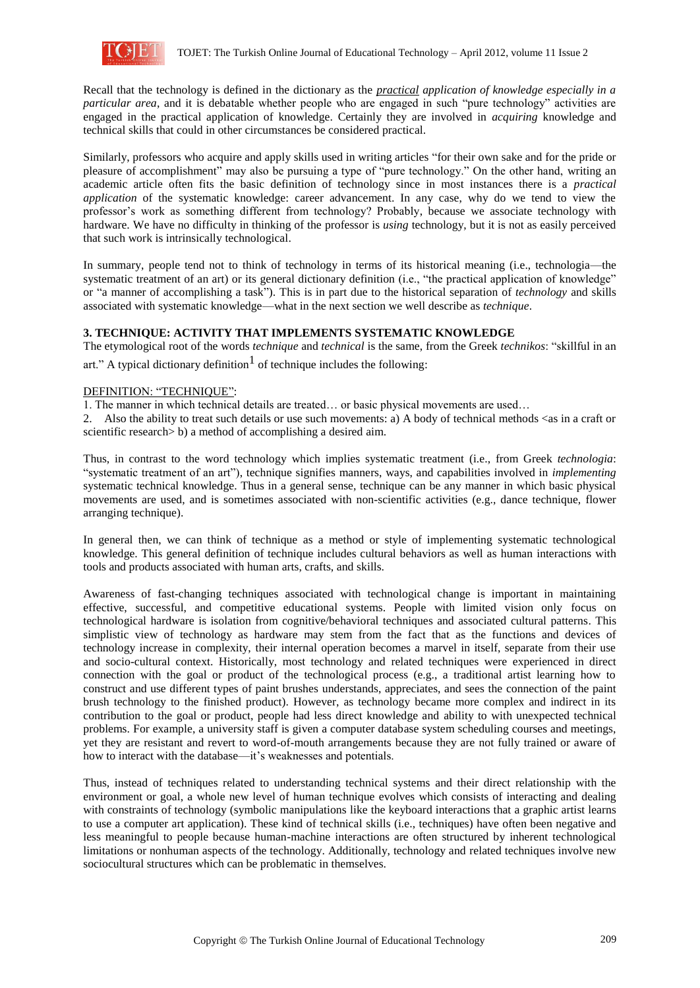

Recall that the technology is defined in the dictionary as the *practical application of knowledge especially in a particular area*, and it is debatable whether people who are engaged in such "pure technology" activities are engaged in the practical application of knowledge. Certainly they are involved in *acquiring* knowledge and technical skills that could in other circumstances be considered practical.

Similarly, professors who acquire and apply skills used in writing articles "for their own sake and for the pride or pleasure of accomplishment" may also be pursuing a type of "pure technology." On the other hand, writing an academic article often fits the basic definition of technology since in most instances there is a *practical application* of the systematic knowledge: career advancement. In any case, why do we tend to view the professor's work as something different from technology? Probably, because we associate technology with hardware. We have no difficulty in thinking of the professor is *using* technology, but it is not as easily perceived that such work is intrinsically technological.

In summary, people tend not to think of technology in terms of its historical meaning (i.e., technologia—the systematic treatment of an art) or its general dictionary definition (i.e., "the practical application of knowledge" or "a manner of accomplishing a task"). This is in part due to the historical separation of *technology* and skills associated with systematic knowledge—what in the next section we well describe as *technique*.

## **3. TECHNIQUE: ACTIVITY THAT IMPLEMENTS SYSTEMATIC KNOWLEDGE**

The etymological root of the words *technique* and *technical* is the same, from the Greek *technikos*: "skillful in an art." A typical dictionary definition  $<sup>1</sup>$  of technique includes the following:</sup>

## DEFINITION: "TECHNIQUE":

1. The manner in which technical details are treated… or basic physical movements are used…

2. Also the ability to treat such details or use such movements: a) A body of technical methods  $\langle$ as in a craft or scientific research > b) a method of accomplishing a desired aim.

Thus, in contrast to the word technology which implies systematic treatment (i.e., from Greek *technologia*: "systematic treatment of an art"), technique signifies manners, ways, and capabilities involved in *implementing* systematic technical knowledge. Thus in a general sense, technique can be any manner in which basic physical movements are used, and is sometimes associated with non-scientific activities (e.g., dance technique, flower arranging technique).

In general then, we can think of technique as a method or style of implementing systematic technological knowledge. This general definition of technique includes cultural behaviors as well as human interactions with tools and products associated with human arts, crafts, and skills.

Awareness of fast-changing techniques associated with technological change is important in maintaining effective, successful, and competitive educational systems. People with limited vision only focus on technological hardware is isolation from cognitive/behavioral techniques and associated cultural patterns. This simplistic view of technology as hardware may stem from the fact that as the functions and devices of technology increase in complexity, their internal operation becomes a marvel in itself, separate from their use and socio-cultural context. Historically, most technology and related techniques were experienced in direct connection with the goal or product of the technological process (e.g., a traditional artist learning how to construct and use different types of paint brushes understands, appreciates, and sees the connection of the paint brush technology to the finished product). However, as technology became more complex and indirect in its contribution to the goal or product, people had less direct knowledge and ability to with unexpected technical problems. For example, a university staff is given a computer database system scheduling courses and meetings, yet they are resistant and revert to word-of-mouth arrangements because they are not fully trained or aware of how to interact with the database—it's weaknesses and potentials.

Thus, instead of techniques related to understanding technical systems and their direct relationship with the environment or goal, a whole new level of human technique evolves which consists of interacting and dealing with constraints of technology (symbolic manipulations like the keyboard interactions that a graphic artist learns to use a computer art application). These kind of technical skills (i.e., techniques) have often been negative and less meaningful to people because human-machine interactions are often structured by inherent technological limitations or nonhuman aspects of the technology. Additionally, technology and related techniques involve new sociocultural structures which can be problematic in themselves.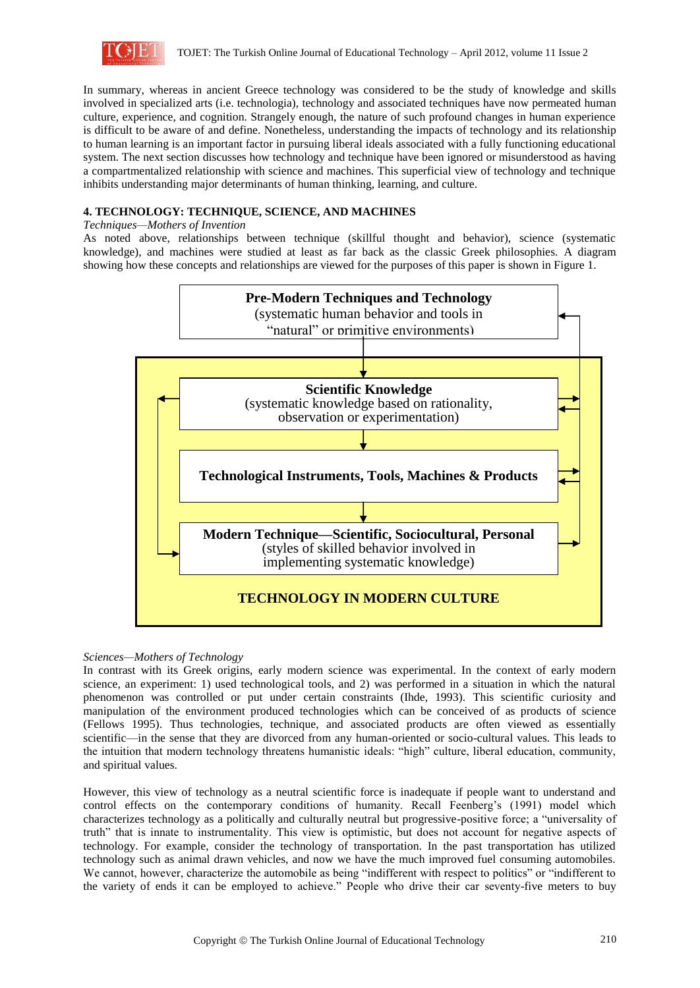

In summary, whereas in ancient Greece technology was considered to be the study of knowledge and skills involved in specialized arts (i.e. technologia), technology and associated techniques have now permeated human culture, experience, and cognition. Strangely enough, the nature of such profound changes in human experience is difficult to be aware of and define. Nonetheless, understanding the impacts of technology and its relationship to human learning is an important factor in pursuing liberal ideals associated with a fully functioning educational system. The next section discusses how technology and technique have been ignored or misunderstood as having a compartmentalized relationship with science and machines. This superficial view of technology and technique inhibits understanding major determinants of human thinking, learning, and culture.

## **4. TECHNOLOGY: TECHNIQUE, SCIENCE, AND MACHINES**

## *Techniques—Mothers of Invention*

As noted above, relationships between technique (skillful thought and behavior), science (systematic knowledge), and machines were studied at least as far back as the classic Greek philosophies. A diagram showing how these concepts and relationships are viewed for the purposes of this paper is shown in Figure 1.



## *Sciences—Mothers of Technology*

In contrast with its Greek origins, early modern science was experimental. In the context of early modern science, an experiment: 1) used technological tools, and 2) was performed in a situation in which the natural phenomenon was controlled or put under certain constraints (Ihde, 1993). This scientific curiosity and manipulation of the environment produced technologies which can be conceived of as products of science (Fellows 1995). Thus technologies, technique, and associated products are often viewed as essentially scientific—in the sense that they are divorced from any human-oriented or socio-cultural values. This leads to the intuition that modern technology threatens humanistic ideals: "high" culture, liberal education, community, and spiritual values.

However, this view of technology as a neutral scientific force is inadequate if people want to understand and control effects on the contemporary conditions of humanity. Recall Feenberg's (1991) model which characterizes technology as a politically and culturally neutral but progressive-positive force; a "universality of truth" that is innate to instrumentality. This view is optimistic, but does not account for negative aspects of technology. For example, consider the technology of transportation. In the past transportation has utilized technology such as animal drawn vehicles, and now we have the much improved fuel consuming automobiles. We cannot, however, characterize the automobile as being "indifferent with respect to politics" or "indifferent to the variety of ends it can be employed to achieve." People who drive their car seventy-five meters to buy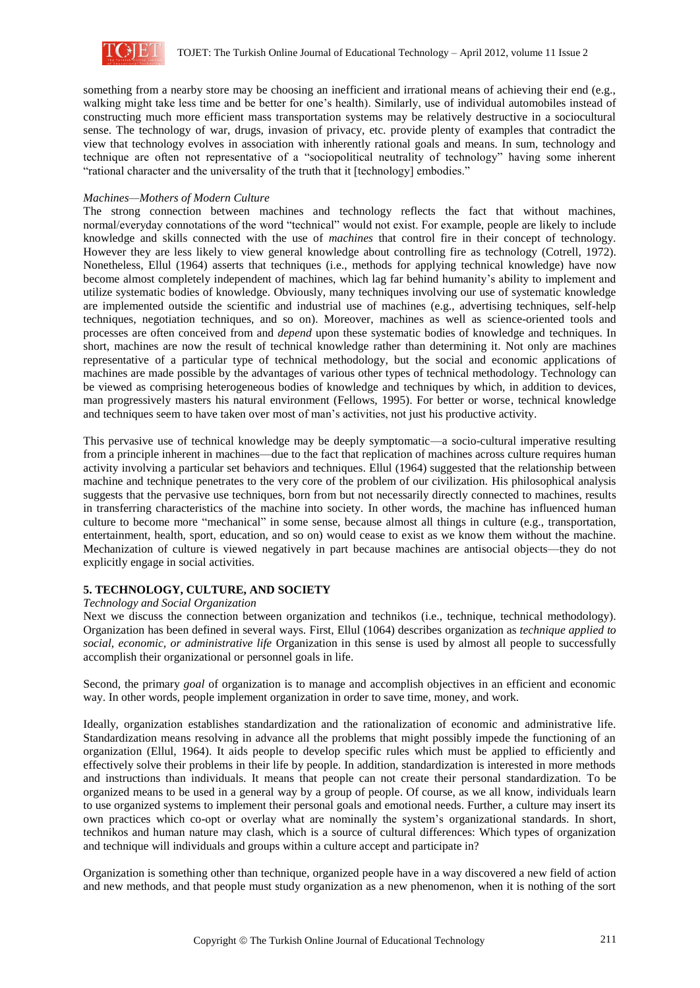

something from a nearby store may be choosing an inefficient and irrational means of achieving their end (e.g., walking might take less time and be better for one's health). Similarly, use of individual automobiles instead of constructing much more efficient mass transportation systems may be relatively destructive in a sociocultural sense. The technology of war, drugs, invasion of privacy, etc. provide plenty of examples that contradict the view that technology evolves in association with inherently rational goals and means. In sum, technology and technique are often not representative of a "sociopolitical neutrality of technology" having some inherent "rational character and the universality of the truth that it [technology] embodies."

### *Machines—Mothers of Modern Culture*

The strong connection between machines and technology reflects the fact that without machines, normal/everyday connotations of the word "technical" would not exist. For example, people are likely to include knowledge and skills connected with the use of *machines* that control fire in their concept of technology. However they are less likely to view general knowledge about controlling fire as technology (Cotrell, 1972). Nonetheless, Ellul (1964) asserts that techniques (i.e., methods for applying technical knowledge) have now become almost completely independent of machines, which lag far behind humanity's ability to implement and utilize systematic bodies of knowledge. Obviously, many techniques involving our use of systematic knowledge are implemented outside the scientific and industrial use of machines (e.g., advertising techniques, self-help techniques, negotiation techniques, and so on). Moreover, machines as well as science-oriented tools and processes are often conceived from and *depend* upon these systematic bodies of knowledge and techniques. In short, machines are now the result of technical knowledge rather than determining it. Not only are machines representative of a particular type of technical methodology, but the social and economic applications of machines are made possible by the advantages of various other types of technical methodology. Technology can be viewed as comprising heterogeneous bodies of knowledge and techniques by which, in addition to devices, man progressively masters his natural environment (Fellows, 1995). For better or worse, technical knowledge and techniques seem to have taken over most of man's activities, not just his productive activity.

This pervasive use of technical knowledge may be deeply symptomatic—a socio-cultural imperative resulting from a principle inherent in machines—due to the fact that replication of machines across culture requires human activity involving a particular set behaviors and techniques. Ellul (1964) suggested that the relationship between machine and technique penetrates to the very core of the problem of our civilization. His philosophical analysis suggests that the pervasive use techniques, born from but not necessarily directly connected to machines, results in transferring characteristics of the machine into society. In other words, the machine has influenced human culture to become more "mechanical" in some sense, because almost all things in culture (e.g., transportation, entertainment, health, sport, education, and so on) would cease to exist as we know them without the machine. Mechanization of culture is viewed negatively in part because machines are antisocial objects—they do not explicitly engage in social activities.

## **5. TECHNOLOGY, CULTURE, AND SOCIETY**

#### *Technology and Social Organization*

Next we discuss the connection between organization and technikos (i.e., technique, technical methodology). Organization has been defined in several ways. First, Ellul (1064) describes organization as *technique applied to social, economic, or administrative life* Organization in this sense is used by almost all people to successfully accomplish their organizational or personnel goals in life.

Second, the primary *goal* of organization is to manage and accomplish objectives in an efficient and economic way. In other words, people implement organization in order to save time, money, and work.

Ideally, organization establishes standardization and the rationalization of economic and administrative life. Standardization means resolving in advance all the problems that might possibly impede the functioning of an organization (Ellul, 1964). It aids people to develop specific rules which must be applied to efficiently and effectively solve their problems in their life by people. In addition, standardization is interested in more methods and instructions than individuals. It means that people can not create their personal standardization. To be organized means to be used in a general way by a group of people. Of course, as we all know, individuals learn to use organized systems to implement their personal goals and emotional needs. Further, a culture may insert its own practices which co-opt or overlay what are nominally the system's organizational standards. In short, technikos and human nature may clash, which is a source of cultural differences: Which types of organization and technique will individuals and groups within a culture accept and participate in?

Organization is something other than technique, organized people have in a way discovered a new field of action and new methods, and that people must study organization as a new phenomenon, when it is nothing of the sort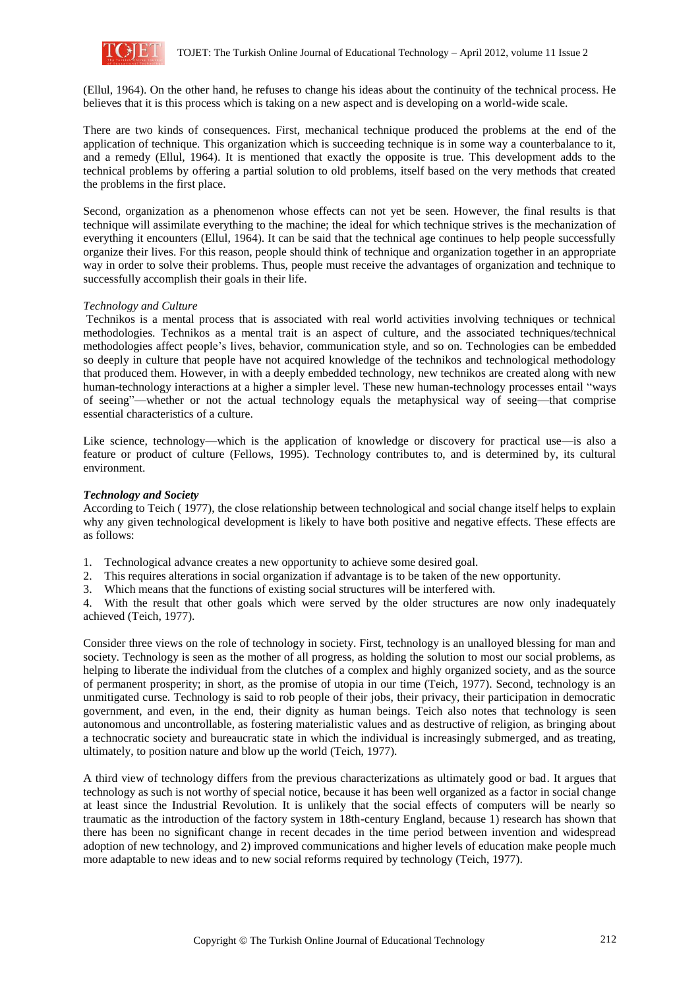

(Ellul, 1964). On the other hand, he refuses to change his ideas about the continuity of the technical process. He believes that it is this process which is taking on a new aspect and is developing on a world-wide scale.

There are two kinds of consequences. First, mechanical technique produced the problems at the end of the application of technique. This organization which is succeeding technique is in some way a counterbalance to it, and a remedy (Ellul, 1964). It is mentioned that exactly the opposite is true. This development adds to the technical problems by offering a partial solution to old problems, itself based on the very methods that created the problems in the first place.

Second, organization as a phenomenon whose effects can not yet be seen. However, the final results is that technique will assimilate everything to the machine; the ideal for which technique strives is the mechanization of everything it encounters (Ellul, 1964). It can be said that the technical age continues to help people successfully organize their lives. For this reason, people should think of technique and organization together in an appropriate way in order to solve their problems. Thus, people must receive the advantages of organization and technique to successfully accomplish their goals in their life.

## *Technology and Culture*

Technikos is a mental process that is associated with real world activities involving techniques or technical methodologies. Technikos as a mental trait is an aspect of culture, and the associated techniques/technical methodologies affect people's lives, behavior, communication style, and so on. Technologies can be embedded so deeply in culture that people have not acquired knowledge of the technikos and technological methodology that produced them. However, in with a deeply embedded technology, new technikos are created along with new human-technology interactions at a higher a simpler level. These new human-technology processes entail "ways of seeing"—whether or not the actual technology equals the metaphysical way of seeing—that comprise essential characteristics of a culture.

Like science, technology—which is the application of knowledge or discovery for practical use—is also a feature or product of culture (Fellows, 1995). Technology contributes to, and is determined by, its cultural environment.

### *Technology and Society*

According to Teich ( 1977), the close relationship between technological and social change itself helps to explain why any given technological development is likely to have both positive and negative effects. These effects are as follows:

1. Technological advance creates a new opportunity to achieve some desired goal.

- 2. This requires alterations in social organization if advantage is to be taken of the new opportunity.
- 3. Which means that the functions of existing social structures will be interfered with.

4. With the result that other goals which were served by the older structures are now only inadequately achieved (Teich, 1977).

Consider three views on the role of technology in society. First, technology is an unalloyed blessing for man and society. Technology is seen as the mother of all progress, as holding the solution to most our social problems, as helping to liberate the individual from the clutches of a complex and highly organized society, and as the source of permanent prosperity; in short, as the promise of utopia in our time (Teich, 1977). Second, technology is an unmitigated curse. Technology is said to rob people of their jobs, their privacy, their participation in democratic government, and even, in the end, their dignity as human beings. Teich also notes that technology is seen autonomous and uncontrollable, as fostering materialistic values and as destructive of religion, as bringing about a technocratic society and bureaucratic state in which the individual is increasingly submerged, and as treating, ultimately, to position nature and blow up the world (Teich, 1977).

A third view of technology differs from the previous characterizations as ultimately good or bad. It argues that technology as such is not worthy of special notice, because it has been well organized as a factor in social change at least since the Industrial Revolution. It is unlikely that the social effects of computers will be nearly so traumatic as the introduction of the factory system in 18th-century England, because 1) research has shown that there has been no significant change in recent decades in the time period between invention and widespread adoption of new technology, and 2) improved communications and higher levels of education make people much more adaptable to new ideas and to new social reforms required by technology (Teich, 1977).